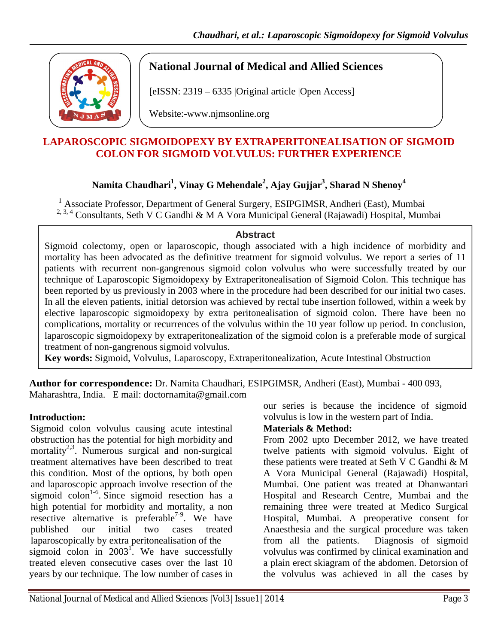

# **National Journal of Medical and Allied Sciences**

[eISSN: 2319 – 6335 |Original article |Open Access]

Website:-www.njmsonline.org

### **LAPAROSCOPIC SIGMOIDOPEXY BY EXTRAPERITONEALISATION OF SIGMOID COLON FOR SIGMOID VOLVULUS: FURTHER EXPERIENCE**

# **Namita Chaudhari<sup>1</sup> , Vinay G Mehendale<sup>2</sup> , Ajay Gujjar3 , Sharad N Shenoy<sup>4</sup>**

<sup>1</sup> Associate Professor, Department of General Surgery, ESIPGIMSR, Andheri (East), Mumbai  $2, 3, 4$  Consultants, Seth V C Gandhi & M A Vora Municipal General (Rajawadi) Hospital, Mumbai

#### **Abstract**

Sigmoid colectomy, open or laparoscopic, though associated with a high incidence of morbidity and mortality has been advocated as the definitive treatment for sigmoid volvulus. We report a series of 11 patients with recurrent non-gangrenous sigmoid colon volvulus who were successfully treated by our technique of Laparoscopic Sigmoidopexy by Extraperitonealisation of Sigmoid Colon. This technique has been reported by us previously in 2003 where in the procedure had been described for our initial two cases. In all the eleven patients, initial detorsion was achieved by rectal tube insertion followed, within a week by elective laparoscopic sigmoidopexy by extra peritonealisation of sigmoid colon. There have been no complications, mortality or recurrences of the volvulus within the 10 year follow up period. In conclusion, laparoscopic sigmoidopexy by extraperitonealization of the sigmoid colon is a preferable mode of surgical treatment of non-gangrenous sigmoid volvulus.

**Key words:** Sigmoid, Volvulus, Laparoscopy, Extraperitonealization, Acute Intestinal Obstruction

**Author for correspondence:** Dr. Namita Chaudhari, ESIPGIMSR, Andheri (East), Mumbai - 400 093, Maharashtra, India. E mail: doctornamita@gmail.com

### **Introduction:**

Sigmoid colon volvulus causing acute intestinal obstruction has the potential for high morbidity and mortality<sup>2,3</sup>. Numerous surgical and non-surgical treatment alternatives have been described to treat this condition. Most of the options, by both open and laparoscopic approach involve resection of the sigmoid colon<sup>1-6</sup>. Since sigmoid resection has a high potential for morbidity and mortality, a non resective alternative is preferable<sup>7-9</sup>. We have published our initial two cases treated laparoscopically by extra peritonealisation of the sigmoid colon in  $2003^1$ . We have successfully treated eleven consecutive cases over the last 10 years by our technique. The low number of cases in

our series is because the incidence of sigmoid volvulus is low in the western part of India.

### **Materials & Method:**

From 2002 upto December 2012, we have treated twelve patients with sigmoid volvulus. Eight of these patients were treated at Seth V C Gandhi & M A Vora Municipal General (Rajawadi) Hospital, Mumbai. One patient was treated at Dhanwantari Hospital and Research Centre, Mumbai and the remaining three were treated at Medico Surgical Hospital, Mumbai. A preoperative consent for Anaesthesia and the surgical procedure was taken from all the patients. Diagnosis of sigmoid volvulus was confirmed by clinical examination and a plain erect skiagram of the abdomen. Detorsion of the volvulus was achieved in all the cases by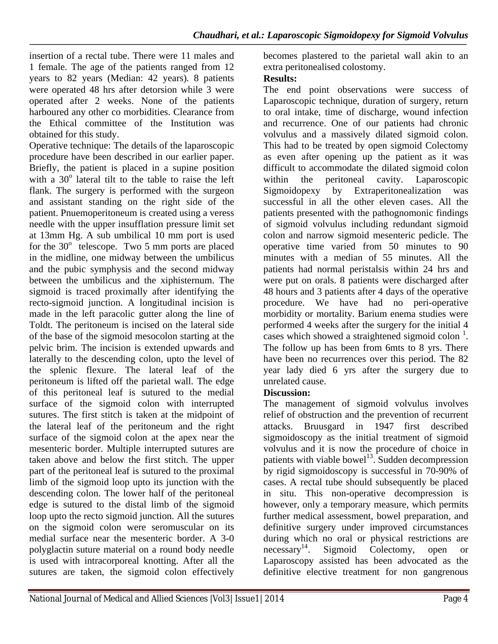insertion of a rectal tube. There were 11 males and 1 female. The age of the patients ranged from 12 years to 82 years (Median: 42 years). 8 patients were operated 48 hrs after detorsion while 3 were operated after 2 weeks. None of the patients harboured any other co morbidities. Clearance from the Ethical committee of the Institution was obtained for this study.

Operative technique: The details of the laparoscopic procedure have been described in our earlier paper. Briefly, the patient is placed in a supine position with a  $30^{\circ}$  lateral tilt to the table to raise the left flank. The surgery is performed with the surgeon and assistant standing on the right side of the patient. Pnuemoperitoneum is created using a veress needle with the upper insufflation pressure limit set at 13mm Hg. A sub umbilical 10 mm port is used for the  $30^{\circ}$  telescope. Two 5 mm ports are placed in the midline, one midway between the umbilicus and the pubic symphysis and the second midway between the umbilicus and the xiphisternum. The sigmoid is traced proximally after identifying the recto-sigmoid junction. A longitudinal incision is made in the left paracolic gutter along the line of Toldt. The peritoneum is incised on the lateral side of the base of the sigmoid mesocolon starting at the pelvic brim. The incision is extended upwards and laterally to the descending colon, upto the level of the splenic flexure. The lateral leaf of the peritoneum is lifted off the parietal wall. The edge of this peritoneal leaf is sutured to the medial surface of the sigmoid colon with interrupted sutures. The first stitch is taken at the midpoint of the lateral leaf of the peritoneum and the right surface of the sigmoid colon at the apex near the mesenteric border. Multiple interrupted sutures are taken above and below the first stitch. The upper part of the peritoneal leaf is sutured to the proximal limb of the sigmoid loop upto its junction with the descending colon. The lower half of the peritoneal edge is sutured to the distal limb of the sigmoid loop upto the recto sigmoid junction. All the sutures on the sigmoid colon were seromuscular on its medial surface near the mesenteric border. A 3-0 polyglactin suture material on a round body needle is used with intracorporeal knotting. After all the sutures are taken, the sigmoid colon effectively

becomes plastered to the parietal wall akin to an extra peritonealised colostomy.

### **Results:**

The end point observations were success of Laparoscopic technique, duration of surgery, return to oral intake, time of discharge, wound infection and recurrence. One of our patients had chronic volvulus and a massively dilated sigmoid colon. This had to be treated by open sigmoid Colectomy as even after opening up the patient as it was difficult to accommodate the dilated sigmoid colon within the peritoneal cavity. Laparoscopic Sigmoidopexy by Extraperitonealization was successful in all the other eleven cases. All the patients presented with the pathognomonic findings of sigmoid volvulus including redundant sigmoid colon and narrow sigmoid mesenteric pedicle. The operative time varied from 50 minutes to 90 minutes with a median of 55 minutes. All the patients had normal peristalsis within 24 hrs and were put on orals. 8 patients were discharged after 48 hours and 3 patients after 4 days of the operative procedure. We have had no peri-operative morbidity or mortality. Barium enema studies were performed 4 weeks after the surgery for the initial 4 cases which showed a straightened sigmoid colon  $\frac{1}{1}$ . The follow up has been from 6mts to 8 yrs. There have been no recurrences over this period. The 82 year lady died 6 yrs after the surgery due to unrelated cause.

### **Discussion:**

The management of sigmoid volvulus involves relief of obstruction and the prevention of recurrent attacks. Bruusgard in 1947 first described sigmoidoscopy as the initial treatment of sigmoid volvulus and it is now the procedure of choice in patients with viable bowel<sup>13</sup>. Sudden decompression by rigid sigmoidoscopy is successful in 70-90% of cases. A rectal tube should subsequently be placed in situ. This non-operative decompression is however, only a temporary measure, which permits further medical assessment, bowel preparation, and definitive surgery under improved circumstances during which no oral or physical restrictions are  $n$ ecessary<sup>14</sup>. Sigmoid Colectomy, open or Laparoscopy assisted has been advocated as the definitive elective treatment for non gangrenous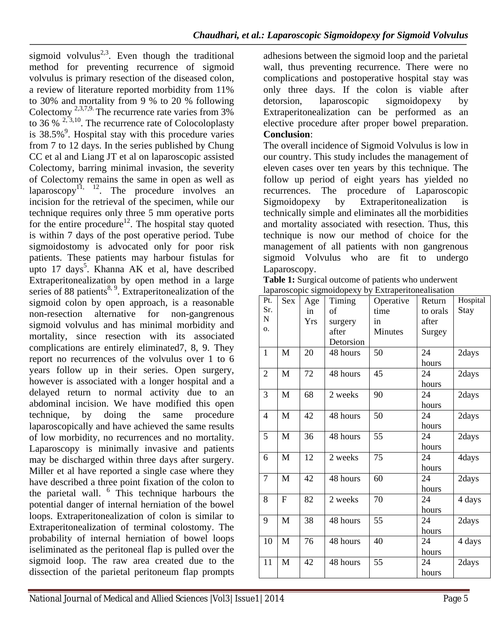sigmoid volvulus<sup>2,3</sup>. Even though the traditional method for preventing recurrence of sigmoid volvulus is primary resection of the diseased colon, a review of literature reported morbidity from 11% to 30% and mortality from 9 % to 20 % following Colectomy  $^{2,3,7,9}$ . The recurrence rate varies from 3% to 36 %  $^{2,3,10}$ . The recurrence rate of Colocoloplasty is  $38.5\%$ <sup>9</sup>. Hospital stay with this procedure varies from 7 to 12 days. In the series published by Chung CC et al and Liang JT et al on laparoscopic assisted Colectomy, barring minimal invasion, the severity of Colectomy remains the same in open as well as laparoscopy $^{11}$ ,  $^{12}$ . The procedure involves an incision for the retrieval of the specimen, while our technique requires only three 5 mm operative ports for the entire procedure<sup>12</sup>. The hospital stay quoted is within 7 days of the post operative period. Tube sigmoidostomy is advocated only for poor risk patients. These patients may harbour fistulas for upto 17 days<sup>5</sup>. Khanna AK et al, have described Extraperitonealization by open method in a large series of 88 patients<sup>8, 9</sup>. Extraperitonealization of the sigmoid colon by open approach, is a reasonable non-resection alternative for non-gangrenous sigmoid volvulus and has minimal morbidity and mortality, since resection with its associated complications are entirely eliminated7, 8, 9. They report no recurrences of the volvulus over 1 to 6 years follow up in their series. Open surgery, however is associated with a longer hospital and a delayed return to normal activity due to an abdominal incision. We have modified this open technique, by doing the same procedure laparoscopically and have achieved the same results of low morbidity, no recurrences and no mortality. Laparoscopy is minimally invasive and patients may be discharged within three days after surgery. Miller et al have reported a single case where they have described a three point fixation of the colon to the parietal wall.  $6$  This technique harbours the potential danger of internal herniation of the bowel loops. Extraperitonealization of colon is similar to Extraperitonealization of terminal colostomy. The probability of internal herniation of bowel loops iseliminated as the peritoneal flap is pulled over the sigmoid loop. The raw area created due to the dissection of the parietal peritoneum flap prompts

adhesions between the sigmoid loop and the parietal wall, thus preventing recurrence. There were no complications and postoperative hospital stay was only three days. If the colon is viable after detorsion, laparoscopic sigmoidopexy by Extraperitonealization can be performed as an elective procedure after proper bowel preparation. **Conclusion**:

The overall incidence of Sigmoid Volvulus is low in our country. This study includes the management of eleven cases over ten years by this technique. The follow up period of eight years has yielded no recurrences. The procedure of Laparoscopic Sigmoidopexy by Extraperitonealization is technically simple and eliminates all the morbidities and mortality associated with resection. Thus, this technique is now our method of choice for the management of all patients with non gangrenous sigmoid Volvulus who are fit to undergo Laparoscopy.

| laparoscopic sigmoidopexy by Extraperitonealisation | <b>Table 1:</b> Surgical outcome of patients who underwent |  |
|-----------------------------------------------------|------------------------------------------------------------|--|
|                                                     |                                                            |  |

| Pt.            | Sex          | Age        | Timing    | Operative      | Return   | Hospital |
|----------------|--------------|------------|-----------|----------------|----------|----------|
| Sr.            |              | in         | of        | time           | to orals | Stay     |
| N              |              | <b>Yrs</b> | surgery   | in             | after    |          |
| Ο.             |              |            | after     | <b>Minutes</b> | Surgey   |          |
|                |              |            | Detorsion |                |          |          |
| $\mathbf{1}$   | $\mathbf{M}$ | 20         | 48 hours  | 50             | 24       | 2days    |
|                |              |            |           |                | hours    |          |
| $\overline{2}$ | M            | 72         | 48 hours  | 45             | 24       | 2days    |
|                |              |            |           |                | hours    |          |
| 3              | M            | 68         | 2 weeks   | 90             | 24       | 2days    |
|                |              |            |           |                | hours    |          |
| $\overline{4}$ | M            | 42         | 48 hours  | 50             | 24       | 2days    |
|                |              |            |           |                | hours    |          |
| 5              | M            | 36         | 48 hours  | 55             | 24       | 2days    |
|                |              |            |           |                | hours    |          |
| 6              | M            | 12         | 2 weeks   | 75             | 24       | 4days    |
|                |              |            |           |                | hours    |          |
| $\tau$         | M            | 42         | 48 hours  | 60             | 24       | 2days    |
|                |              |            |           |                | hours    |          |
| 8              | F            | 82         | 2 weeks   | 70             | 24       | 4 days   |
|                |              |            |           |                | hours    |          |
| 9              | $\mathbf{M}$ | 38         | 48 hours  | 55             | 24       | 2days    |
|                |              |            |           |                | hours    |          |
| 10             | M            | 76         | 48 hours  | 40             | 24       | 4 days   |
|                |              |            |           |                | hours    |          |
| 11             | M            | 42         | 48 hours  | 55             | 24       | 2days    |
|                |              |            |           |                | hours    |          |